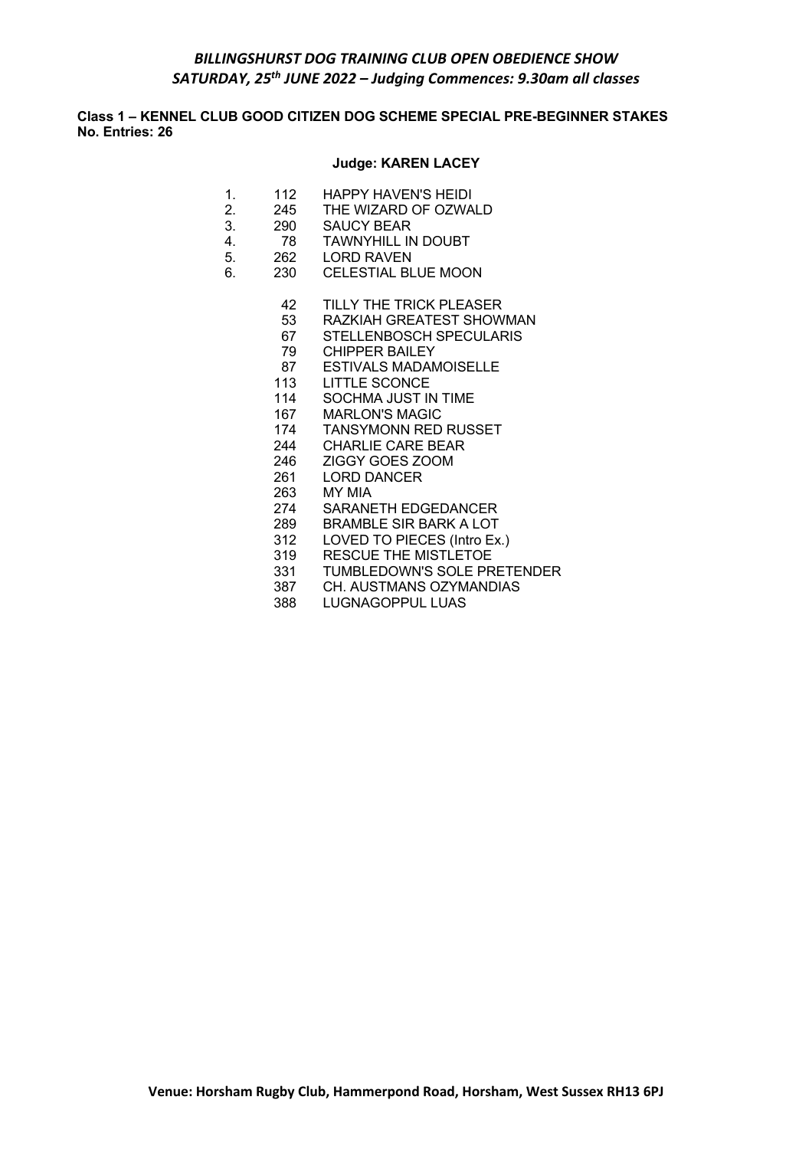# *BILLINGSHURST DOG TRAINING CLUB OPEN OBEDIENCE SHOW SATURDAY, 25th JUNE 2022 – Judging Commences: 9.30am all classes*

**Class 1 – KENNEL CLUB GOOD CITIZEN DOG SCHEME SPECIAL PRE-BEGINNER STAKES No. Entries: 26**

## **Judge: KAREN LACEY**

- 1. 112 HAPPY HAVEN'S HEIDI
- 2. 245 THE WIZARD OF OZWALD
- 3. 290 SAUCY BEAR
- 4. 78 TAWNYHILL IN DOUBT
- 5. 262 LORD RAVEN
- 6. 230 CELESTIAL BLUE MOON
	- 42 TILLY THE TRICK PLEASER<br>53 RAZKIAH GREATEST SHOW
	- 53 RAZKIAH GREATEST SHOWMAN<br>67 STELLENBOSCH SPECULARIS
	- 67 STELLENBOSCH SPECULARIS<br>79 CHIPPER BAILEY
	- **CHIPPER BAILEY**
	- 87 ESTIVALS MADAMOISELLE
	- 113 LITTLE SCONCE
	- 114 SOCHMA JUST IN TIME
	- 167 MARLON'S MAGIC<br>174 TANSYMONN RFD
	- 174 TANSYMONN RED RUSSET<br>244 CHARLIF CARE BEAR
	- CHARLIE CARE BEAR
	- 246 ZIGGY GOES ZOOM
	- 261 LORD DANCER
	- 263 MY MIA
	- 274 SARANETH EDGEDANCER
	- 289 BRAMBLE SIR BARK A LOT
	- 312 LOVED TO PIECES (Intro Ex.)
	- 319 RESCUE THE MISTLETOE
	- 331 TUMBLEDOWN'S SOLE PRETENDER
	- 387 CH. AUSTMANS OZYMANDIAS
	- 388 LUGNAGOPPUL LUAS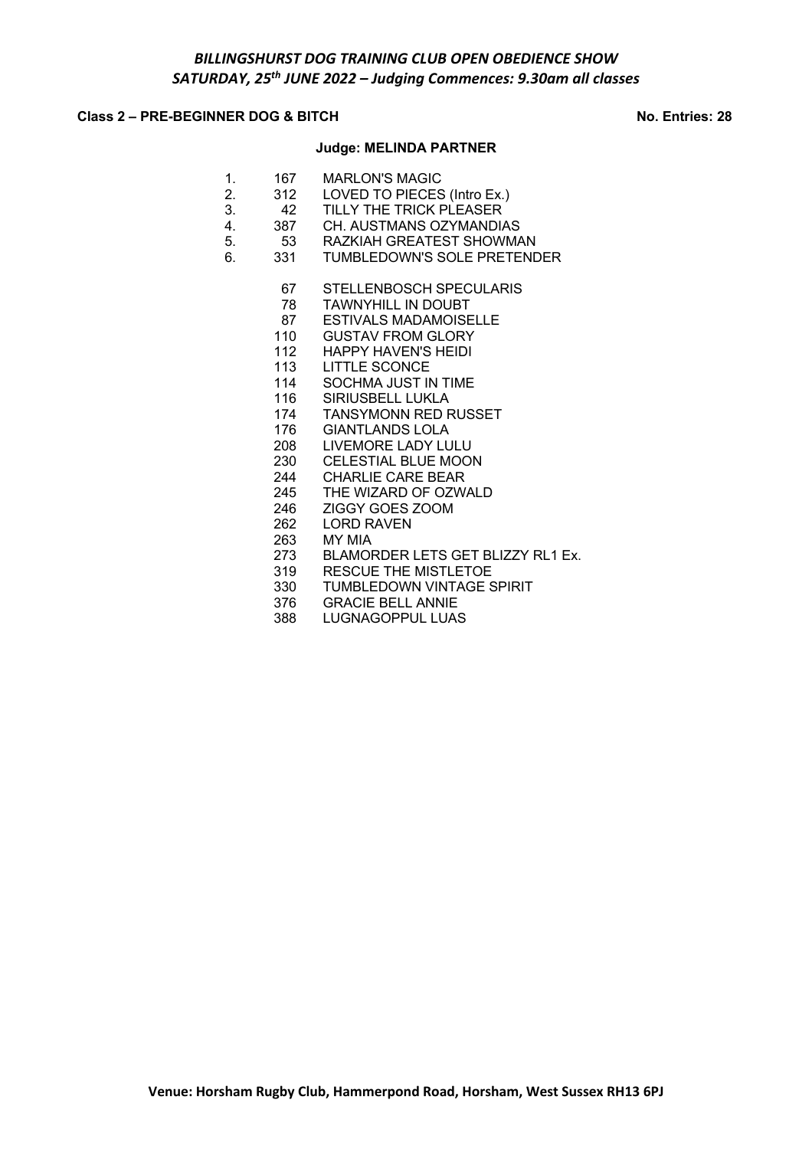# **Class 2 – PRE-BEGINNER DOG & BITCH No. Entries: 28**

# **Judge: MELINDA PARTNER**

| 1. |     | 167 MARLON'S MAGIC                |
|----|-----|-----------------------------------|
| 2. |     | 312 LOVED TO PIECES (Intro Ex.)   |
| 3. | 42  | TILLY THE TRICK PLEASER           |
| 4. |     | 387 CH. AUSTMANS OZYMANDIAS       |
| 5. |     | 53 RAZKIAH GREATEST SHOWMAN       |
| 6. | 331 | TUMBLEDOWN'S SOLE PRETENDER       |
|    |     | 67 STELLENBOSCH SPECULARIS        |
|    |     | 78 TAWNYHILL IN DOUBT             |
|    |     | 87 ESTIVALS MADAMOISELLE          |
|    |     | 110 GUSTAV FROM GLORY             |
|    |     | 112 HAPPY HAVEN'S HEIDI           |
|    |     | 113 LITTLE SCONCE                 |
|    |     | 114 SOCHMA JUST IN TIME           |
|    |     | 116 SIRIUSBELL LUKLA              |
|    | 174 | <b>TANSYMONN RED RUSSET</b>       |
|    |     | 176 GIANTLANDS LOLA               |
|    |     | 208 LIVEMORE LADY LULU            |
|    |     | 230 CELESTIAL BLUE MOON           |
|    |     | 244 CHARLIE CARE BEAR             |
|    |     | 245 THE WIZARD OF OZWALD          |
|    |     | 246 ZIGGY GOES ZOOM               |
|    | 262 | <b>LORD RAVEN</b>                 |
|    |     | 263 MY MIA                        |
|    | 273 | BLAMORDER LETS GET BLIZZY RL1 Ex. |
|    |     | 319 RESCUE THE MISTLETOE          |
|    | 330 | <b>TUMBLEDOWN VINTAGE SPIRIT</b>  |
|    |     | 376 GRACIE BELL ANNIE             |
|    | 388 | LUGNAGOPPUL LUAS                  |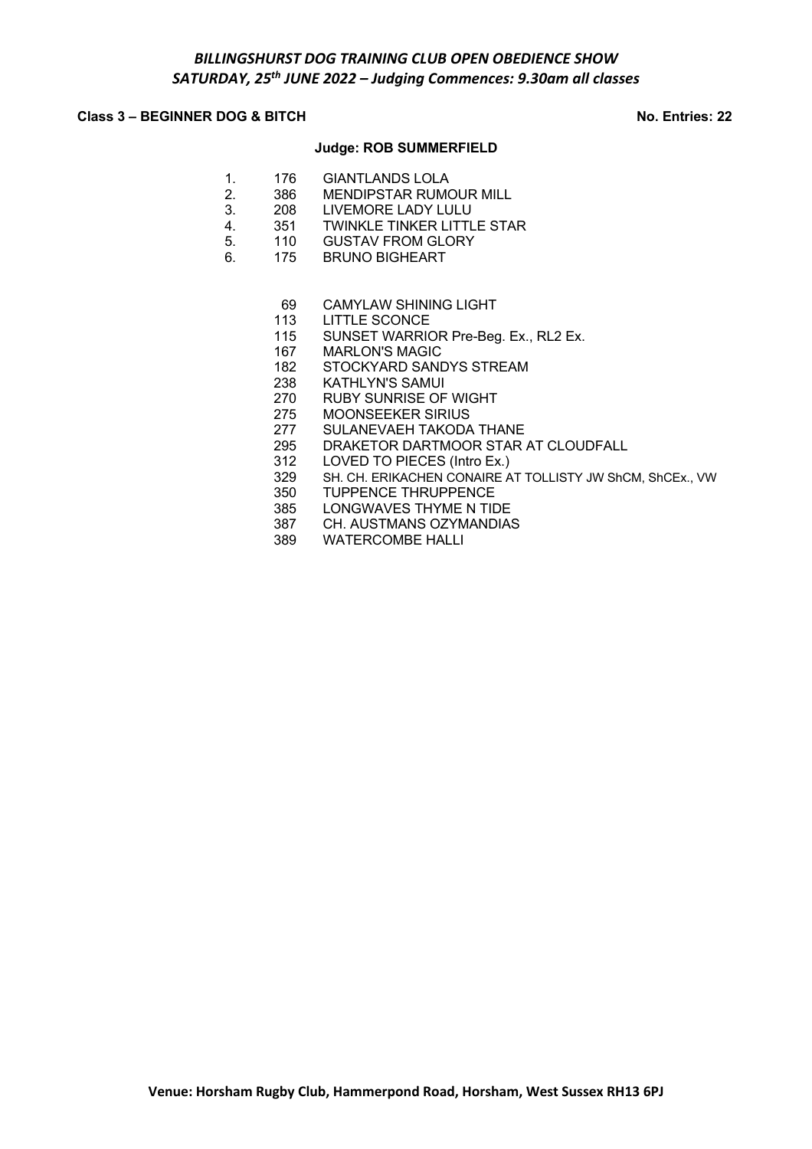# **Class 3 – BEGINNER DOG & BITCH No. Entries: 22**

## **Judge: ROB SUMMERFIELD**

- 1. 176 GIANTLANDS LOLA
- 2. 386 MENDIPSTAR RUMOUR MILL
- 3. 208 LIVEMORE LADY LULU
- 4. 351 TWINKLE TINKER LITTLE STAR
- 5. 110 GUSTAV FROM GLORY
- 6. 175 BRUNO BIGHEART
	- 69 CAMYLAW SHINING LIGHT<br>113 LITTLE SCONCE
	- LITTLE SCONCE
	- 115 SUNSET WARRIOR Pre-Beg. Ex., RL2 Ex.
	- 167 MARLON'S MAGIC
	- 182 STOCKYARD SANDYS STREAM
	- 238 KATHLYN'S SAMUI
	- 270 RUBY SUNRISE OF WIGHT
	- 275 MOONSEEKER SIRIUS
	- 277 SULANEVAEH TAKODA THANE<br>295 DRAKETOR DARTMOOR STAR
	- DRAKETOR DARTMOOR STAR AT CLOUDFALL
	- 312 LOVED TO PIECES (Intro Ex.)<br>329 SH. CH. ERIKACHEN CONAIRE A
	- SH. CH. ERIKACHEN CONAIRE AT TOLLISTY JW ShCM, ShCEx., VW
	- 350 TUPPENCE THRUPPENCE
	- 385 LONGWAVES THYME N TIDE
	- 387 CH. AUSTMANS OZYMANDIAS
	- 389 WATERCOMBE HALLI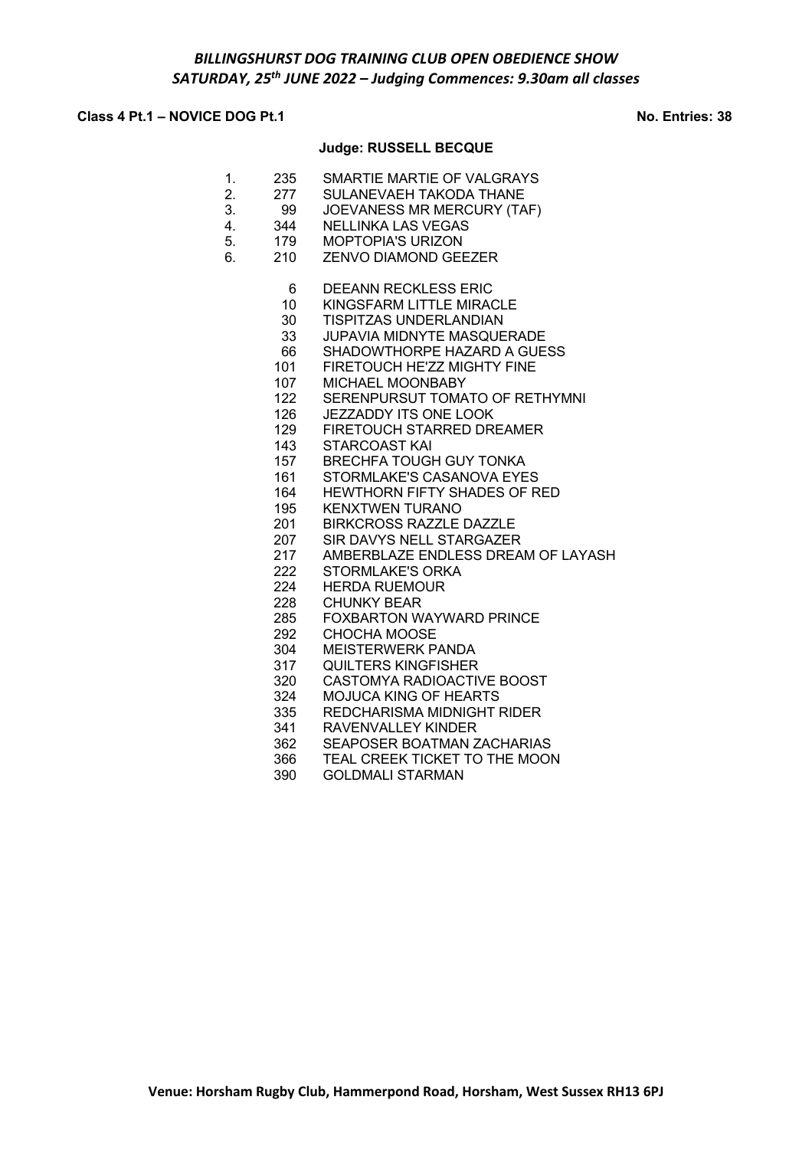# **Class 4 Pt.1 – NOVICE DOG Pt.1 No. Entries: 38**

## **Judge: RUSSELL BECQUE**

- 1. 235 SMARTIE MARTIE OF VALGRAYS 2. 277 SULANEVAEH TAKODA THANE
- 3. 99 JOEVANESS MR MERCURY (TAF)
- 4. 344 NELLINKA LAS VEGAS
- 5. 179 MOPTOPIA'S URIZON
- 6. 210 ZENVO DIAMOND GEEZER
	- 6 DEEANN RECKLESS ERIC
	-
	- 10 KINGSFARM LITTLE MIRACLE<br>30 TISPITZAS UNDERLANDIAN TISPITZAS UNDERLANDIAN
	- 33 JUPAVIA MIDNYTE MASQUERADE
	- 66 SHADOWTHORPE HAZARD A GUESS
	- 101 FIRETOUCH HE'ZZ MIGHTY FINE
	- 107 MICHAEL MOONBABY
	- 122 SERENPURSUT TOMATO OF RETHYMNI
	- 126 JEZZADDY ITS ONE LOOK
	- 129 FIRETOUCH STARRED DREAMER
	- 143 STARCOAST KAI
	- 157 BRECHFA TOUGH GUY TONKA
	- 161 STORMLAKE'S CASANOVA EYES
	- 164 HEWTHORN FIFTY SHADES OF RED
	- 195 KENXTWEN TURANO
	- 201 BIRKCROSS RAZZLE DAZZLE
	- 207 SIR DAVYS NELL STARGAZER
	- 217 AMBERBLAZE ENDLESS DREAM OF LAYASH
	- 222 STORMLAKE'S ORKA
	- 224 HERDA RUEMOUR
	- 228 CHUNKY BEAR
	- 285 FOXBARTON WAYWARD PRINCE
	- 292 CHOCHA MOOSE
	- 304 MEISTERWERK PANDA<br>317 QUILTERS KINGFISHER
	- QUILTERS KINGFISHER
	- 320 CASTOMYA RADIOACTIVE BOOST
	- 324 MOJUCA KING OF HEARTS
	- 335 REDCHARISMA MIDNIGHT RIDER
	- 341 RAVENVALLEY KINDER<br>362 SEAPOSER BOATMAN Z
	- 362 SEAPOSER BOATMAN ZACHARIAS<br>366 TEAL CREEK TICKET TO THE MOOI
	- 366 TEAL CREEK TICKET TO THE MOON<br>390 GOLDMALI STARMAN
	- 390 GOLDMALI STARMAN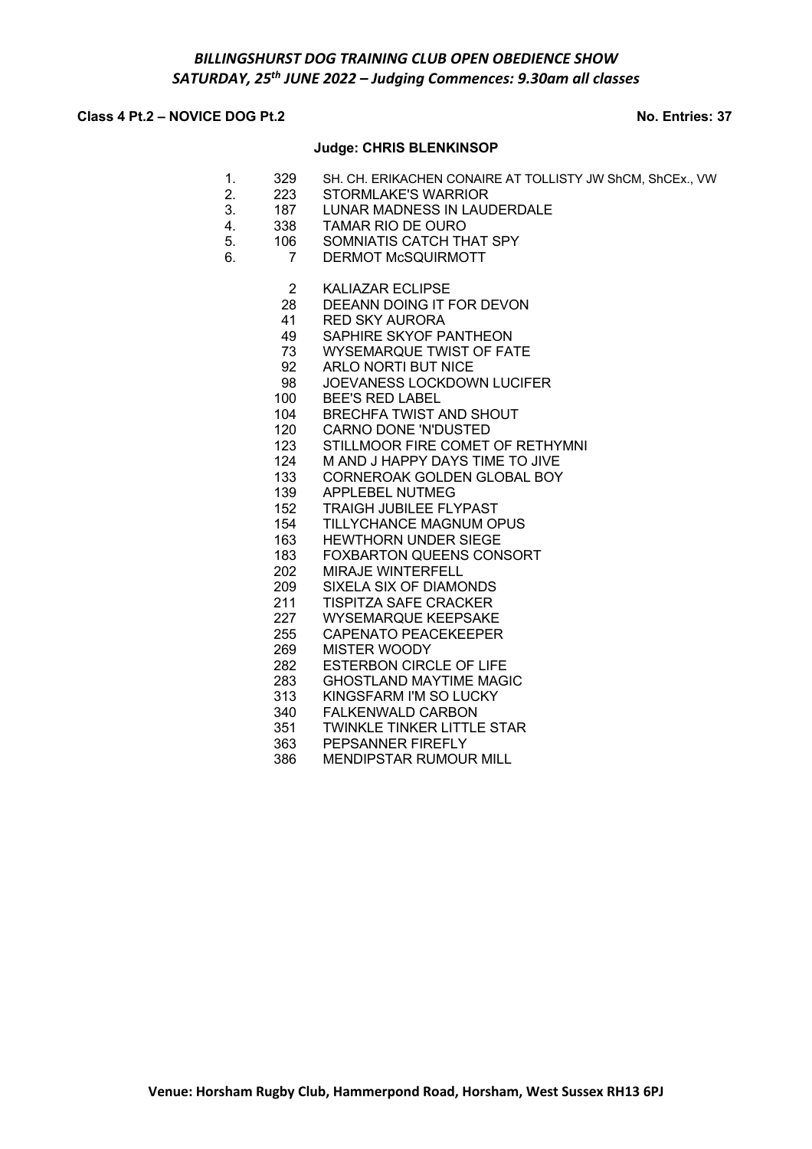# **Class 4 Pt.2 – NOVICE DOG Pt.2 No. Entries: 37**

### **Judge: CHRIS BLENKINSOP**

- 1. 329 SH. CH. ERIKACHEN CONAIRE AT TOLLISTY JW ShCM, ShCEx., VW
- 2. 223 STORMLAKE'S WARRIOR
- 3. 187 LUNAR MADNESS IN LAUDERDALE
- 4. 338 TAMAR RIO DE OURO
	- 5. 106 SOMNIATIS CATCH THAT SPY
	- 6. 7 DERMOT McSQUIRMOTT
		- 2 KALIAZAR ECLIPSE
		- 28 DEEANN DOING IT FOR DEVON<br>41 RED SKY AURORA
		- RED SKY AURORA
		- 49 SAPHIRE SKYOF PANTHEON<br>73 WYSEMARQUE TWIST OF FAT
		- WYSEMARQUE TWIST OF FATE
		- 92 ARLO NORTI BUT NICE
		- 98 JOEVANESS LOCKDOWN LUCIFER
		- 100 BEE'S RED LABEL
		- 104 BRECHFA TWIST AND SHOUT
		- 120 CARNO DONE 'N'DUSTED
		- 123 STILLMOOR FIRE COMET OF RETHYMNI
		- 124 M AND J HAPPY DAYS TIME TO JIVE
		- 133 CORNEROAK GOLDEN GLOBAL BOY
		- 139 APPLEBEL NUTMEG
		- 152 TRAIGH JUBILEE FLYPAST
		- 154 TILLYCHANCE MAGNUM OPUS
		- 163 HEWTHORN UNDER SIEGE
		- 183 FOXBARTON QUEENS CONSORT
		- 202 MIRAJE WINTERFELL
		- 209 SIXELA SIX OF DIAMONDS
		- 211 TISPITZA SAFE CRACKER<br>227 WYSEMARQUE KEEPSAKE
		- WYSEMARQUE KEEPSAKE
		- 255 CAPENATO PEACEKEEPER
		- 269 MISTER WOODY
		- 282 ESTERBON CIRCLE OF LIFE
		- 283 GHOSTLAND MAYTIME MAGIC
		- 313 KINGSFARM I'M SO LUCKY
		- 340 FALKENWALD CARBON
		- 351 TWINKLE TINKER LITTLE STAR<br>363 PEPSANNER FIREFLY
		- PEPSANNER FIREFLY
		- 386 MENDIPSTAR RUMOUR MILL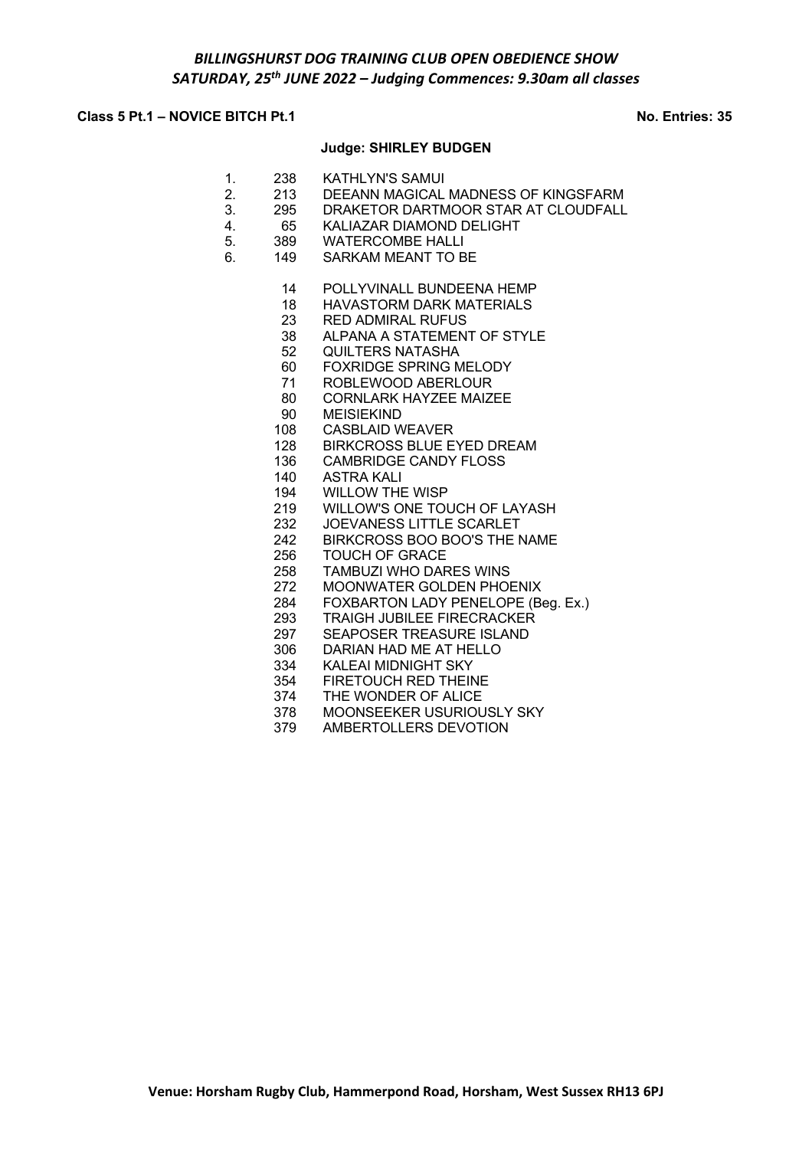# **Class 5 Pt.1 – NOVICE BITCH Pt.1 No. Entries: 35**

### **Judge: SHIRLEY BUDGEN**

- 1. 238 KATHLYN'S SAMUI
- 2. 213 DEEANN MAGICAL MADNESS OF KINGSFARM
- 3. 295 DRAKETOR DARTMOOR STAR AT CLOUDFALL
- 4. 65 KALIAZAR DIAMOND DELIGHT
- 5. 389 WATERCOMBE HALLI
- 6. 149 SARKAM MEANT TO BE
	- 14 POLLYVINALL BUNDEENA HEMP
	- 18 HAVASTORM DARK MATERIALS<br>23 RED ADMIRAL RUFUS
	- **RED ADMIRAL RUFUS**
	- 38 ALPANA A STATEMENT OF STYLE
	- 52 QUILTERS NATASHA
	- 60 FOXRIDGE SPRING MELODY
	- 71 ROBLEWOOD ABERLOUR
	- 80 CORNLARK HAYZEE MAIZEE
	- 90 MEISIEKIND
	- 108 CASBLAID WEAVER
	- 128 BIRKCROSS BLUE EYED DREAM<br>136 CAMBRIDGE CANDY FLOSS
	- CAMBRIDGE CANDY FLOSS
	- 140 ASTRA KALI
	- 194 WILLOW THE WISP
	- 219 WILLOW'S ONE TOUCH OF LAYASH
	- 232 JOEVANESS LITTLE SCARLET
	- 242 BIRKCROSS BOO BOO'S THE NAME
	- 256 TOUCH OF GRACE
	- 258 TAMBUZI WHO DARES WINS
	- 272 MOONWATER GOLDEN PHOENIX
	- 284 FOXBARTON LADY PENELOPE (Beg. Ex.)<br>293 TRAIGH JUBILEE FIRECRACKER
	- 293 TRAIGH JUBILEE FIRECRACKER<br>297 SEAPOSER TREASURE ISLAND
	- 297 SEAPOSER TREASURE ISLAND<br>306 DARIAN HAD ME AT HELLO
	- DARIAN HAD ME AT HELLO
	- 334 KALEAI MIDNIGHT SKY
	- 354 FIRETOUCH RED THEINE
	- 374 THE WONDER OF ALICE<br>378 MOONSEEKER USURIOU
	- MOONSEEKER USURIOUSLY SKY
	- 379 AMBERTOLLERS DEVOTION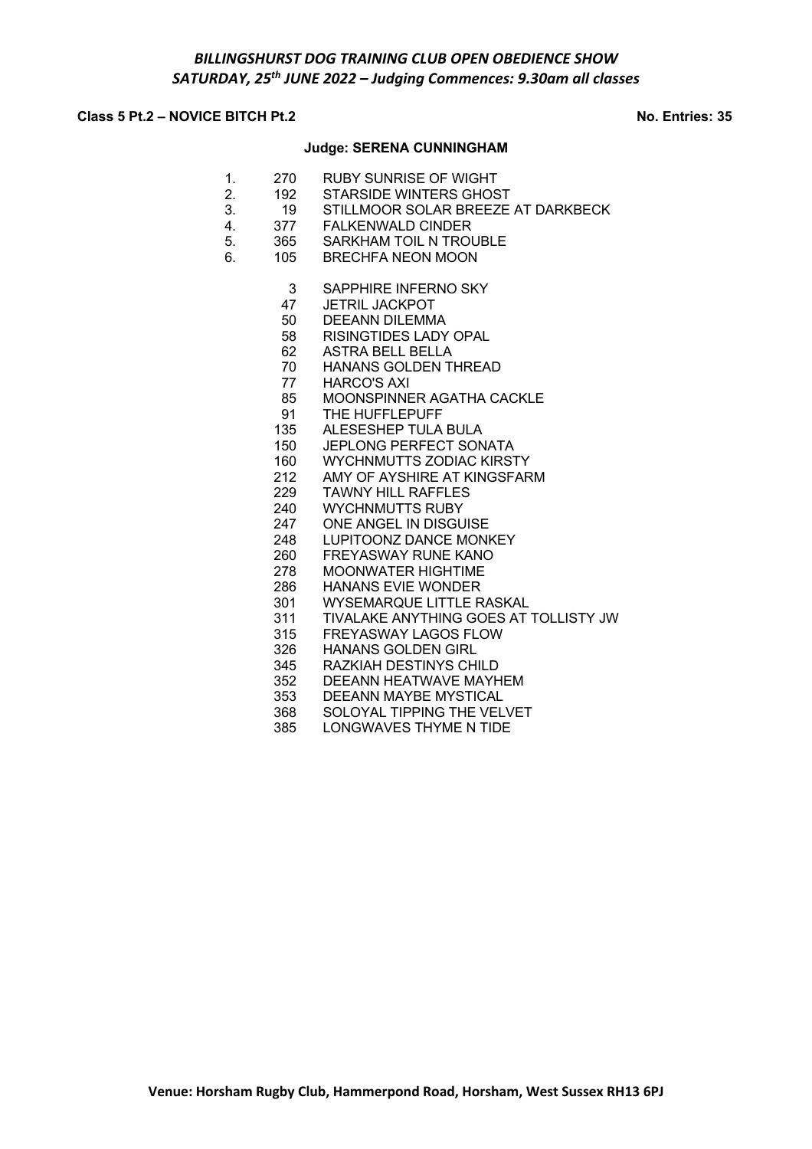# **Class 5 Pt.2 – NOVICE BITCH Pt.2 No. Entries: 35**

### **Judge: SERENA CUNNINGHAM**

- 1. 270 RUBY SUNRISE OF WIGHT
- 2. 192 STARSIDE WINTERS GHOST
- 3. 19 STILLMOOR SOLAR BREEZE AT DARKBECK
- 4. 377 FALKENWALD CINDER
- 5. 365 SARKHAM TOIL N TROUBLE
- 6. 105 BRECHFA NEON MOON
	- 3 SAPPHIRE INFERNO SKY
	-
	- 47 JETRIL JACKPOT<br>50 DEEANN DILEMM DEEANN DILEMMA
	- 58 RISINGTIDES LADY OPAL
	- 62 ASTRA BELL BELLA
	- 70 HANANS GOLDEN THREAD
	- 77 HARCO'S AXI
	- 85 MOONSPINNER AGATHA CACKLE
	- 91 THE HUFFLEPUFF
	- 135 ALESESHEP TULA BULA
	- 150 JEPLONG PERFECT SONATA<br>160 WYCHNMUTTS ZODIAC KIRST
	-
	- 160 WYCHNMUTTS ZODIAC KIRSTY<br>212 AMY OF AYSHIRE AT KINGSFAR AMY OF AYSHIRE AT KINGSFARM
	- 229 TAWNY HILL RAFFLES
	- 240 WYCHNMUTTS RUBY
	- 247 ONE ANGEL IN DISGUISE
	- 248 LUPITOONZ DANCE MONKEY
	- 260 FREYASWAY RUNE KANO
	- 278 MOONWATER HIGHTIME
	- 286 HANANS EVIE WONDER
	- 301 WYSEMARQUE LITTLE RASKAL
	- 311 TIVALAKE ANYTHING GOES AT TOLLISTY JW<br>315 FREYASWAY LAGOS FLOW
		- FREYASWAY LAGOS FLOW
		- 326 HANANS GOLDEN GIRL<br>345 RAZKIAH DESTINYS CH
		- RAZKIAH DESTINYS CHILD
		- 352 DEEANN HEATWAVE MAYHEM
	- 353 DEEANN MAYBE MYSTICAL<br>368 SOLOYAL TIPPING THE VEL<br>385 LONGWAVES THYME N TIDE
	- SOLOYAL TIPPING THE VELVET
	- LONGWAVES THYME N TIDE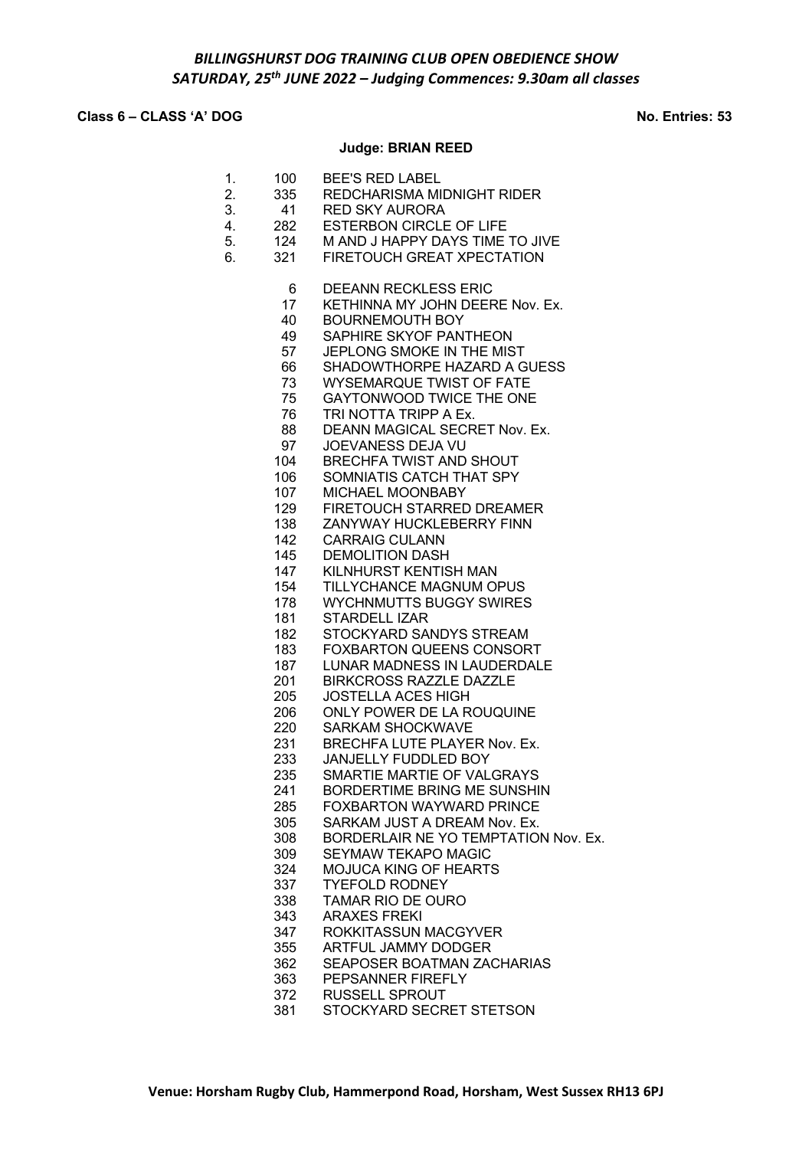# **Class 6 – CLASS 'A' DOG No. Entries: 53**

# **Judge: BRIAN REED**

| 1.<br>2.<br>3.<br>4.<br>5.<br>6. | 100<br>335<br>41<br>282<br>124<br>321 | <b>BEE'S RED LABEL</b><br>REDCHARISMA MIDNIGHT RIDER<br><b>RED SKY AURORA</b><br>ESTERBON CIRCLE OF LIFE<br>M AND J HAPPY DAYS TIME TO JIVE<br>FIRETOUCH GREAT XPECTATION |
|----------------------------------|---------------------------------------|---------------------------------------------------------------------------------------------------------------------------------------------------------------------------|
|                                  | 6<br>17                               | <b>DEEANN RECKLESS ERIC</b><br>KETHINNA MY JOHN DEERE Nov. Ex.                                                                                                            |
|                                  | 40                                    | <b>BOURNEMOUTH BOY</b>                                                                                                                                                    |
|                                  | 49                                    | SAPHIRE SKYOF PANTHEON                                                                                                                                                    |
|                                  | 57                                    | JEPLONG SMOKE IN THE MIST                                                                                                                                                 |
|                                  | 66                                    | SHADOWTHORPE HAZARD A GUESS                                                                                                                                               |
|                                  | 73                                    | <b>WYSEMARQUE TWIST OF FATE</b>                                                                                                                                           |
|                                  | 75                                    | GAYTONWOOD TWICE THE ONE                                                                                                                                                  |
|                                  | 76                                    | TRI NOTTA TRIPP A Ex.                                                                                                                                                     |
|                                  | 88<br>97                              | DEANN MAGICAL SECRET Nov. Ex.<br>JOEVANESS DEJA VU                                                                                                                        |
|                                  | 104                                   | <b>BRECHFA TWIST AND SHOUT</b>                                                                                                                                            |
|                                  | 106                                   | SOMNIATIS CATCH THAT SPY                                                                                                                                                  |
|                                  | 107                                   | MICHAEL MOONBABY                                                                                                                                                          |
|                                  | 129                                   | FIRETOUCH STARRED DREAMER                                                                                                                                                 |
|                                  | 138                                   | ZANYWAY HUCKLEBERRY FINN                                                                                                                                                  |
|                                  | 142                                   | <b>CARRAIG CULANN</b>                                                                                                                                                     |
|                                  | 145                                   | <b>DEMOLITION DASH</b>                                                                                                                                                    |
|                                  | 147                                   | KILNHURST KENTISH MAN                                                                                                                                                     |
|                                  | 154<br>178                            | TILLYCHANCE MAGNUM OPUS<br><b>WYCHNMUTTS BUGGY SWIRES</b>                                                                                                                 |
|                                  | 181                                   | STARDELL IZAR                                                                                                                                                             |
|                                  | 182                                   | STOCKYARD SANDYS STREAM                                                                                                                                                   |
|                                  | 183                                   | <b>FOXBARTON QUEENS CONSORT</b>                                                                                                                                           |
|                                  | 187                                   | LUNAR MADNESS IN LAUDERDALE                                                                                                                                               |
|                                  | 201                                   | <b>BIRKCROSS RAZZLE DAZZLE</b>                                                                                                                                            |
|                                  | 205                                   | <b>JOSTELLA ACES HIGH</b>                                                                                                                                                 |
|                                  | 206                                   | ONLY POWER DE LA ROUQUINE                                                                                                                                                 |
|                                  | 220<br>231                            | <b>SARKAM SHOCKWAVE</b><br>BRECHFA LUTE PLAYER Nov. Ex.                                                                                                                   |
|                                  | 233                                   | JANJELLY FUDDLED BOY                                                                                                                                                      |
|                                  | 235                                   | SMARTIE MARTIE OF VALGRAYS                                                                                                                                                |
|                                  | 241                                   | BORDERTIME BRING ME SUNSHIN                                                                                                                                               |
|                                  | 285                                   | <b>FOXBARTON WAYWARD PRINCE</b>                                                                                                                                           |
|                                  | 305                                   | SARKAM JUST A DREAM Nov. Ex.                                                                                                                                              |
|                                  | 308                                   | BORDERLAIR NE YO TEMPTATION Nov. Ex.                                                                                                                                      |
|                                  | 309                                   | <b>SEYMAW TEKAPO MAGIC</b>                                                                                                                                                |
|                                  | 324                                   | <b>MOJUCA KING OF HEARTS</b>                                                                                                                                              |
|                                  | 337<br>338                            | <b>TYEFOLD RODNEY</b><br><b>TAMAR RIO DE OURO</b>                                                                                                                         |
|                                  | 343                                   | <b>ARAXES FREKI</b>                                                                                                                                                       |
|                                  | 347                                   | ROKKITASSUN MACGYVER                                                                                                                                                      |
|                                  | 355                                   | <b>ARTFUL JAMMY DODGER</b>                                                                                                                                                |
|                                  | 362                                   | SEAPOSER BOATMAN ZACHARIAS                                                                                                                                                |
|                                  | 363                                   | PEPSANNER FIREFLY                                                                                                                                                         |
|                                  | 372                                   | RUSSELL SPROUT                                                                                                                                                            |
|                                  | 381                                   | STOCKYARD SECRET STETSON                                                                                                                                                  |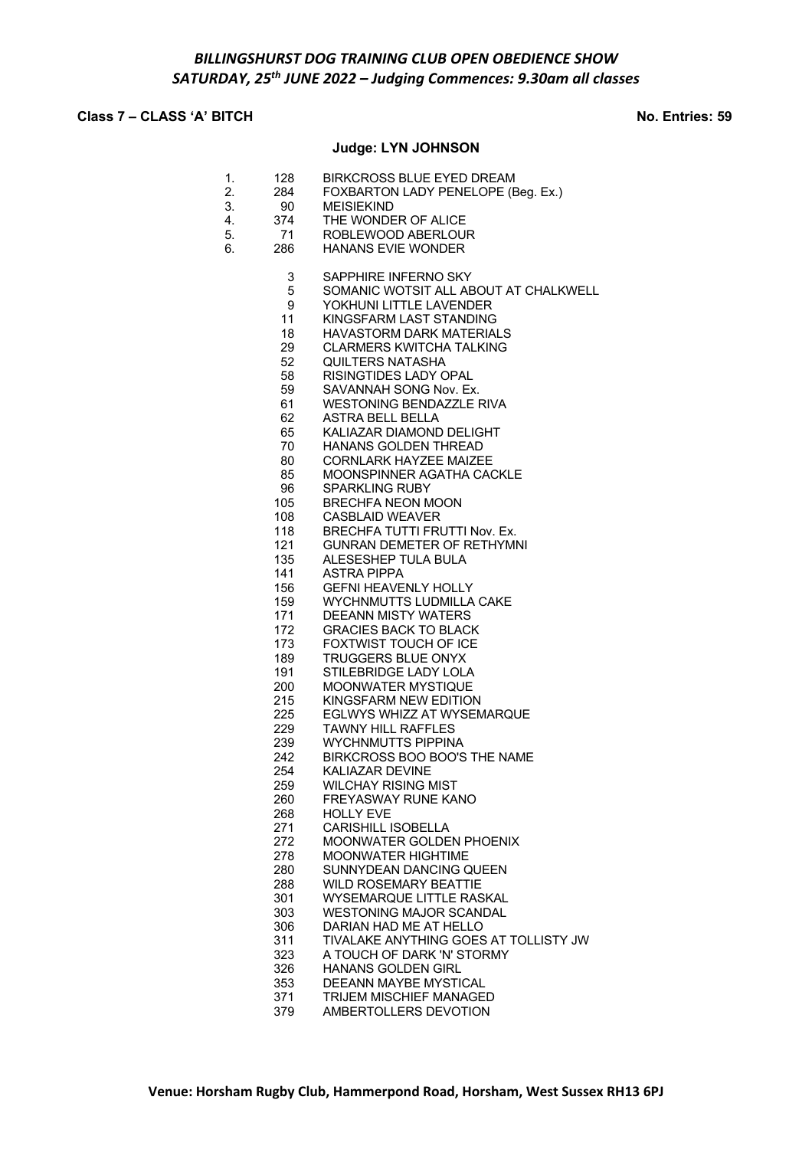# **Class 7 – CLASS 'A' BITCH No. Entries: 59**

# **Judge: LYN JOHNSON**

| 1.<br>2.<br>3.<br>4.<br>5.<br>6. | 128<br>284<br>90<br>374<br>71<br>286 | <b>BIRKCROSS BLUE EYED DREAM</b><br>FOXBARTON LADY PENELOPE (Beg. Ex.)<br><b>MEISIEKIND</b><br>THE WONDER OF ALICE<br>ROBLEWOOD ABERLOUR<br><b>HANANS EVIE WONDER</b> |
|----------------------------------|--------------------------------------|-----------------------------------------------------------------------------------------------------------------------------------------------------------------------|
|                                  | 3<br>5                               | SAPPHIRE INFERNO SKY<br>SOMANIC WOTSIT ALL ABOUT AT CHALKWELL                                                                                                         |
|                                  | 9                                    | YOKHUNI LITTLE LAVENDER                                                                                                                                               |
|                                  | 11                                   | KINGSFARM LAST STANDING                                                                                                                                               |
|                                  | 18                                   | <b>HAVASTORM DARK MATERIALS</b>                                                                                                                                       |
|                                  | 29                                   | <b>CLARMERS KWITCHA TALKING</b>                                                                                                                                       |
|                                  | 52 <sub>2</sub><br>58                | <b>QUILTERS NATASHA</b><br>RISINGTIDES LADY OPAL                                                                                                                      |
|                                  | 59                                   | SAVANNAH SONG Nov. Ex.                                                                                                                                                |
|                                  | 61                                   | <b>WESTONING BENDAZZLE RIVA</b>                                                                                                                                       |
|                                  | 62                                   | <b>ASTRA BELL BELLA</b>                                                                                                                                               |
|                                  | 65                                   | KALIAZAR DIAMOND DELIGHT                                                                                                                                              |
|                                  | 70<br>80                             | HANANS GOLDEN THREAD<br><b>CORNLARK HAYZEE MAIZEE</b>                                                                                                                 |
|                                  | 85                                   | <b>MOONSPINNER AGATHA CACKLE</b>                                                                                                                                      |
|                                  | 96                                   | <b>SPARKLING RUBY</b>                                                                                                                                                 |
|                                  | 105                                  | <b>BRECHFA NEON MOON</b>                                                                                                                                              |
|                                  | 108                                  | <b>CASBLAID WEAVER</b>                                                                                                                                                |
|                                  | 118<br>121                           | BRECHFA TUTTI FRUTTI Nov. Ex.                                                                                                                                         |
|                                  | 135                                  | <b>GUNRAN DEMETER OF RETHYMNI</b><br>ALESESHEP TULA BULA                                                                                                              |
|                                  | 141                                  | <b>ASTRA PIPPA</b>                                                                                                                                                    |
|                                  | 156                                  | <b>GEFNI HEAVENLY HOLLY</b>                                                                                                                                           |
|                                  | 159                                  | <b>WYCHNMUTTS LUDMILLA CAKE</b>                                                                                                                                       |
|                                  | 171<br>172                           | <b>DEEANN MISTY WATERS</b>                                                                                                                                            |
|                                  | 173                                  | <b>GRACIES BACK TO BLACK</b><br>FOXTWIST TOUCH OF ICE                                                                                                                 |
|                                  | 189                                  | <b>TRUGGERS BLUE ONYX</b>                                                                                                                                             |
|                                  | 191                                  | STILEBRIDGE LADY LOLA                                                                                                                                                 |
|                                  | 200                                  | MOONWATER MYSTIQUE                                                                                                                                                    |
|                                  | 215                                  | KINGSFARM NEW EDITION                                                                                                                                                 |
|                                  | 225<br>229                           | <b>EGLWYS WHIZZ AT WYSEMARQUE</b><br><b>TAWNY HILL RAFFLES</b>                                                                                                        |
|                                  | 239                                  | <b>WYCHNMUTTS PIPPINA</b>                                                                                                                                             |
|                                  | 242                                  | BIRKCROSS BOO BOO'S THE NAME                                                                                                                                          |
|                                  | 254                                  | <b>KALIAZAR DEVINE</b>                                                                                                                                                |
|                                  | 259                                  | WILCHAY RISING MIST                                                                                                                                                   |
|                                  | 260<br>268                           | <b>FREYASWAY RUNE KANO</b><br>HOLLY EVE                                                                                                                               |
|                                  | 271                                  | <b>CARISHILL ISOBELLA</b>                                                                                                                                             |
|                                  | 272                                  | MOONWATER GOLDEN PHOENIX                                                                                                                                              |
|                                  | 278                                  | <b>MOONWATER HIGHTIME</b>                                                                                                                                             |
|                                  | 280                                  | SUNNYDEAN DANCING QUEEN                                                                                                                                               |
|                                  | 288<br>301                           | <b>WILD ROSEMARY BEATTIE</b><br><b>WYSEMARQUE LITTLE RASKAL</b>                                                                                                       |
|                                  | 303                                  | <b>WESTONING MAJOR SCANDAL</b>                                                                                                                                        |
|                                  | 306                                  | DARIAN HAD ME AT HELLO                                                                                                                                                |
|                                  | 311                                  | TIVALAKE ANYTHING GOES AT TOLLISTY JW                                                                                                                                 |
|                                  | 323                                  | A TOUCH OF DARK 'N' STORMY                                                                                                                                            |
|                                  | 326<br>353                           | <b>HANANS GOLDEN GIRL</b><br><b>DEEANN MAYBE MYSTICAL</b>                                                                                                             |
|                                  | 371                                  | TRIJEM MISCHIEF MANAGED                                                                                                                                               |
|                                  | 379                                  | AMBERTOLLERS DEVOTION                                                                                                                                                 |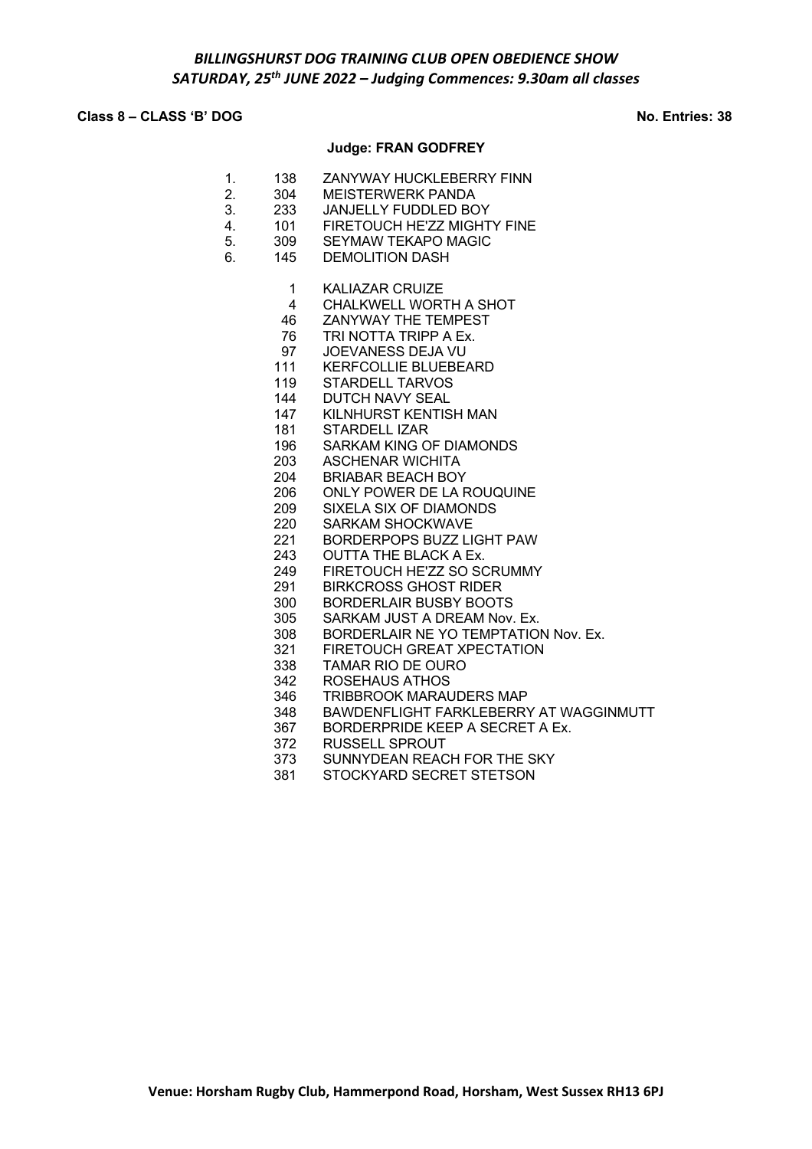# **Class 8 – CLASS 'B' DOG No. Entries: 38**

# **Judge: FRAN GODFREY**

| 1.<br>2.<br>3.<br>4.<br>5.<br>6. | 138<br>304<br>233<br>101<br>309<br>145 | ZANYWAY HUCKLEBERRY FINN<br><b>MEISTERWERK PANDA</b><br><b>JANJELLY FUDDLED BOY</b><br>FIRETOUCH HE'ZZ MIGHTY FINE<br><b>SEYMAW TEKAPO MAGIC</b><br><b>DEMOLITION DASH</b> |
|----------------------------------|----------------------------------------|----------------------------------------------------------------------------------------------------------------------------------------------------------------------------|
|                                  | 1                                      | <b>KALIAZAR CRUIZE</b>                                                                                                                                                     |
|                                  | 4                                      | CHALKWELL WORTH A SHOT                                                                                                                                                     |
|                                  | 46                                     | ZANYWAY THE TEMPEST                                                                                                                                                        |
|                                  | 76                                     | TRI NOTTA TRIPP A Ex.                                                                                                                                                      |
|                                  | 97                                     | JOEVANESS DEJA VU                                                                                                                                                          |
|                                  | 111<br>119                             | <b>KERFCOLLIE BLUEBEARD</b><br><b>STARDELL TARVOS</b>                                                                                                                      |
|                                  | 144                                    | <b>DUTCH NAVY SEAL</b>                                                                                                                                                     |
|                                  | 147                                    | KILNHURST KENTISH MAN                                                                                                                                                      |
|                                  | 181                                    | <b>STARDELL IZAR</b>                                                                                                                                                       |
|                                  | 196                                    | SARKAM KING OF DIAMONDS                                                                                                                                                    |
|                                  | 203                                    | <b>ASCHENAR WICHITA</b>                                                                                                                                                    |
|                                  | 204                                    | <b>BRIABAR BEACH BOY</b>                                                                                                                                                   |
|                                  | 206                                    | <b>ONLY POWER DE LA ROUQUINE</b>                                                                                                                                           |
|                                  | 209                                    | <b>SIXELA SIX OF DIAMONDS</b>                                                                                                                                              |
|                                  | 220                                    | <b>SARKAM SHOCKWAVE</b>                                                                                                                                                    |
|                                  | 221                                    | <b>BORDERPOPS BUZZ LIGHT PAW</b>                                                                                                                                           |
|                                  | 243                                    | <b>OUTTA THE BLACK A Ex.</b>                                                                                                                                               |
|                                  | 249                                    | FIRETOUCH HE'ZZ SO SCRUMMY                                                                                                                                                 |
|                                  | 291                                    | <b>BIRKCROSS GHOST RIDER</b>                                                                                                                                               |
|                                  | 300                                    | <b>BORDERLAIR BUSBY BOOTS</b>                                                                                                                                              |
|                                  | 305                                    | SARKAM JUST A DREAM Nov. Ex.                                                                                                                                               |
|                                  | 308                                    | BORDERLAIR NE YO TEMPTATION Nov. Ex.                                                                                                                                       |
|                                  | 321                                    | FIRETOUCH GREAT XPECTATION                                                                                                                                                 |
|                                  | 338                                    | <b>TAMAR RIO DE OURO</b>                                                                                                                                                   |
|                                  | 342                                    | <b>ROSEHAUS ATHOS</b>                                                                                                                                                      |
|                                  | 346                                    | <b>TRIBBROOK MARAUDERS MAP</b>                                                                                                                                             |
|                                  | 348<br>367                             | BAWDENFLIGHT FARKLEBERRY AT WAGGINMUTT<br>BORDERPRIDE KEEP A SECRET A Ex.                                                                                                  |
|                                  | 372                                    | <b>RUSSELL SPROUT</b>                                                                                                                                                      |
|                                  | 373                                    | SUNNYDEAN REACH FOR THE SKY                                                                                                                                                |
|                                  | 381                                    | STOCKYARD SECRET STETSON                                                                                                                                                   |
|                                  |                                        |                                                                                                                                                                            |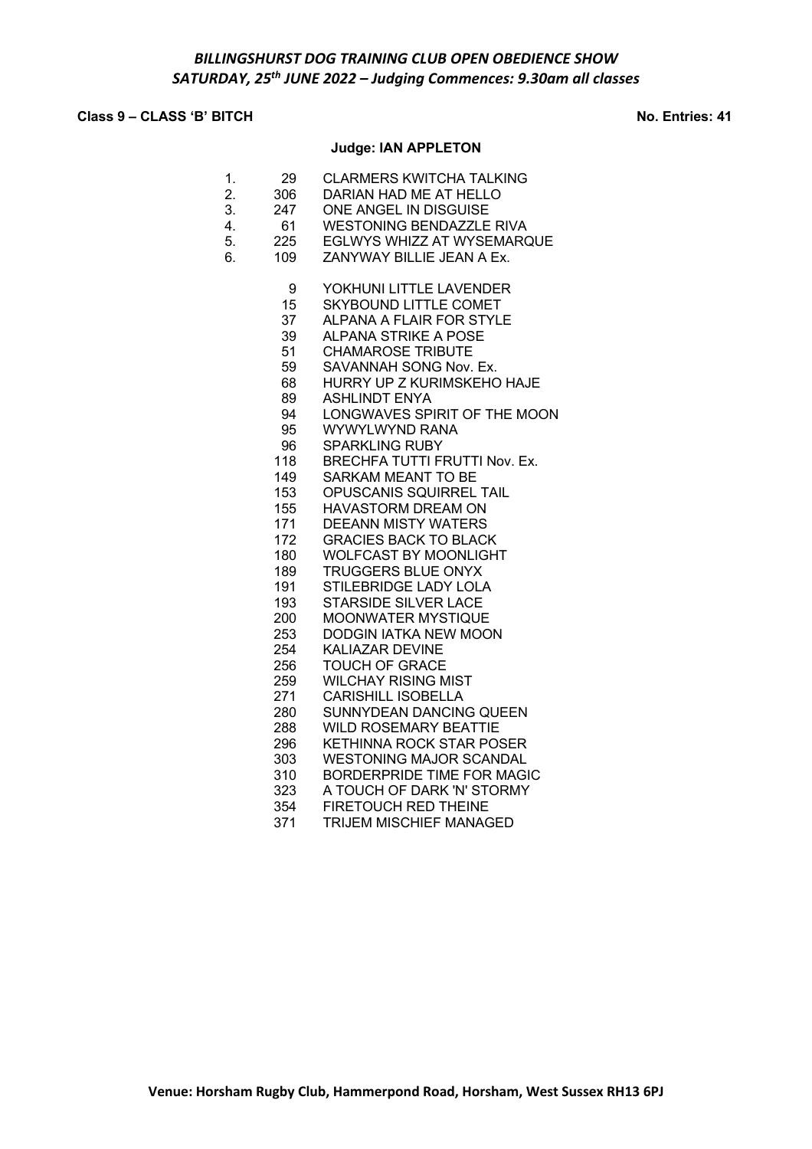# **Class 9 – CLASS 'B' BITCH No. Entries: 41**

# **Judge: IAN APPLETON**

| 1.<br>2.<br>3.<br>4.<br>5.<br>6. | 29<br>306<br>247<br>61<br>225<br>109                                                                                                                     | <b>CLARMERS KWITCHA TALKING</b><br>DARIAN HAD ME AT HELLO<br>ONE ANGEL IN DISGUISE<br><b>WESTONING BENDAZZLE RIVA</b><br>EGLWYS WHIZZ AT WYSEMARQUE<br>ZANYWAY BILLIE JEAN A Ex.                                                                                                                                                                                                                                                                                                                                                                                                                                                                                                                          |
|----------------------------------|----------------------------------------------------------------------------------------------------------------------------------------------------------|-----------------------------------------------------------------------------------------------------------------------------------------------------------------------------------------------------------------------------------------------------------------------------------------------------------------------------------------------------------------------------------------------------------------------------------------------------------------------------------------------------------------------------------------------------------------------------------------------------------------------------------------------------------------------------------------------------------|
|                                  | 9<br>15<br>37<br>39<br>51<br>59<br>68<br>89<br>94<br>95<br>96<br>118<br>149<br>153<br>155<br>171<br>172<br>180<br>189<br>191<br>193<br>200<br>253<br>254 | YOKHUNI LITTLE LAVENDER<br><b>SKYBOUND LITTLE COMET</b><br><b>ALPANA A FLAIR FOR STYLE</b><br><b>ALPANA STRIKE A POSE</b><br><b>CHAMAROSE TRIBUTE</b><br>SAVANNAH SONG Nov. Ex.<br>HURRY UP Z KURIMSKEHO HAJE<br><b>ASHLINDT ENYA</b><br>LONGWAVES SPIRIT OF THE MOON<br>WYWYLWYND RANA<br><b>SPARKLING RUBY</b><br><b>BRECHFA TUTTI FRUTTI Nov. Ex.</b><br>SARKAM MEANT TO BE<br>OPUSCANIS SQUIRREL TAIL<br><b>HAVASTORM DREAM ON</b><br><b>DEEANN MISTY WATERS</b><br><b>GRACIES BACK TO BLACK</b><br><b>WOLFCAST BY MOONLIGHT</b><br>TRUGGERS BLUE ONYX<br>STILEBRIDGE LADY LOLA<br><b>STARSIDE SILVER LACE</b><br><b>MOONWATER MYSTIQUE</b><br><b>DODGIN IATKA NEW MOON</b><br><b>KALIAZAR DEVINE</b> |
|                                  | 256                                                                                                                                                      | TOUCH OF GRACE                                                                                                                                                                                                                                                                                                                                                                                                                                                                                                                                                                                                                                                                                            |
|                                  | 259                                                                                                                                                      | <b>WILCHAY RISING MIST</b>                                                                                                                                                                                                                                                                                                                                                                                                                                                                                                                                                                                                                                                                                |
|                                  | 271                                                                                                                                                      | <b>CARISHILL ISOBELLA</b>                                                                                                                                                                                                                                                                                                                                                                                                                                                                                                                                                                                                                                                                                 |
|                                  | 280                                                                                                                                                      | SUNNYDEAN DANCING QUEEN                                                                                                                                                                                                                                                                                                                                                                                                                                                                                                                                                                                                                                                                                   |
|                                  | 288                                                                                                                                                      | <b>WILD ROSEMARY BEATTIE</b>                                                                                                                                                                                                                                                                                                                                                                                                                                                                                                                                                                                                                                                                              |
|                                  | 296                                                                                                                                                      | <b>KETHINNA ROCK STAR POSER</b>                                                                                                                                                                                                                                                                                                                                                                                                                                                                                                                                                                                                                                                                           |
|                                  | 303                                                                                                                                                      | <b>WESTONING MAJOR SCANDAL</b>                                                                                                                                                                                                                                                                                                                                                                                                                                                                                                                                                                                                                                                                            |
|                                  | 310                                                                                                                                                      | <b>BORDERPRIDE TIME FOR MAGIC</b>                                                                                                                                                                                                                                                                                                                                                                                                                                                                                                                                                                                                                                                                         |
|                                  | 323                                                                                                                                                      | A TOUCH OF DARK 'N' STORMY                                                                                                                                                                                                                                                                                                                                                                                                                                                                                                                                                                                                                                                                                |
|                                  | 354                                                                                                                                                      | <b>FIRETOUCH RED THEINE</b>                                                                                                                                                                                                                                                                                                                                                                                                                                                                                                                                                                                                                                                                               |
|                                  | 371                                                                                                                                                      | <b>TRIJEM MISCHIEF MANAGED</b>                                                                                                                                                                                                                                                                                                                                                                                                                                                                                                                                                                                                                                                                            |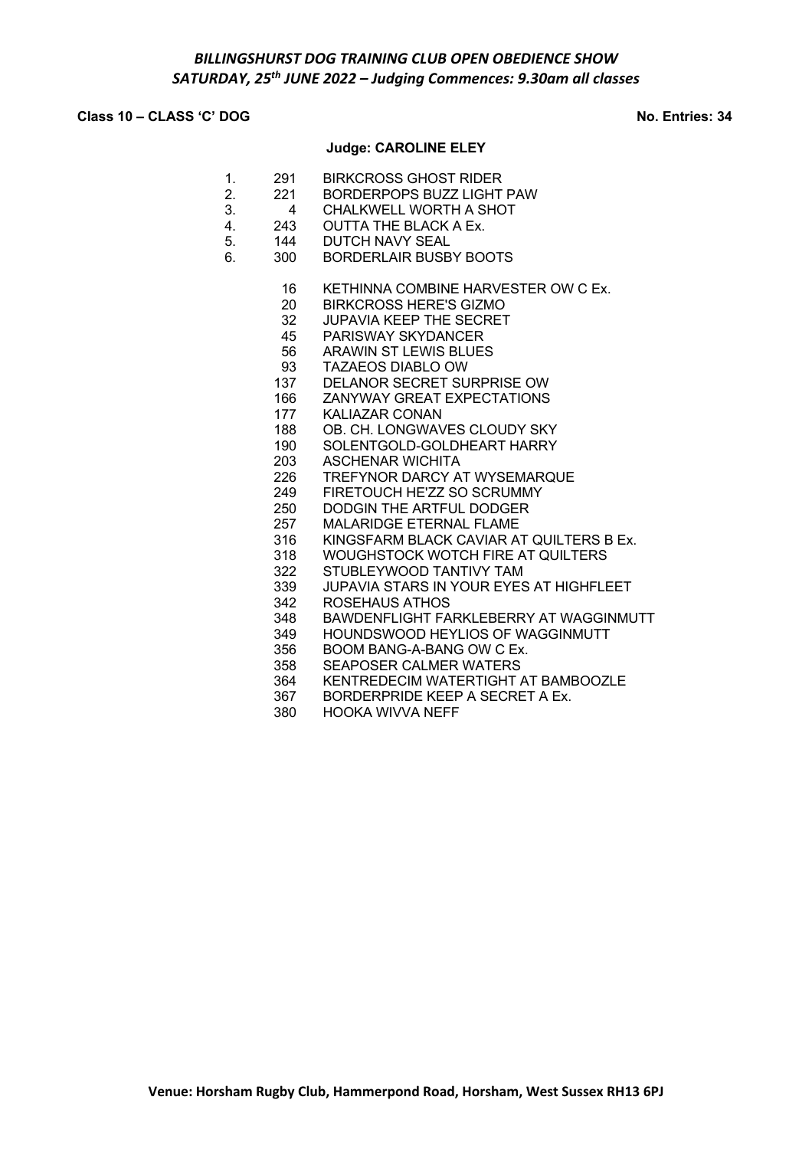## **Class 10 – CLASS 'C' DOG No. Entries: 34**

## **Judge: CAROLINE ELEY**

- 1. 291 BIRKCROSS GHOST RIDER
- 2. 221 BORDERPOPS BUZZ LIGHT PAW
- 3. 4 CHALKWELL WORTH A SHOT
- 4. 243 OUTTA THE BLACK A Ex. 5. 144 DUTCH NAVY SEAL
- 6. 300 BORDERLAIR BUSBY BOOTS
	- - 16 KETHINNA COMBINE HARVESTER OW C Ex.
		- 20 BIRKCROSS HERE'S GIZMO<br>32 JUPAVIA KEEP THE SECRET
		- JUPAVIA KEEP THE SECRET 45 PARISWAY SKYDANCER
		- 56 ARAWIN ST LEWIS BLUES
		- 93 TAZAEOS DIABLO OW
	- 137 DELANOR SECRET SURPRISE OW
	- 166 ZANYWAY GREAT EXPECTATIONS
	- 177 KALIAZAR CONAN
	- 188 OB. CH. LONGWAVES CLOUDY SKY
	- 190 SOLENTGOLD-GOLDHEART HARRY<br>203 ASCHENAR WICHITA
		- **ASCHENAR WICHITA**
	- 226 TREFYNOR DARCY AT WYSEMARQUE
	- 249 FIRETOUCH HE'ZZ SO SCRUMMY
	- 250 DODGIN THE ARTFUL DODGER
	- 257 MALARIDGE ETERNAL FLAME
	- 316 KINGSFARM BLACK CAVIAR AT QUILTERS B Ex.
	- 318 WOUGHSTOCK WOTCH FIRE AT QUILTERS
	- 322 STUBLEYWOOD TANTIVY TAM
	- 339 JUPAVIA STARS IN YOUR EYES AT HIGHFLEET
	- 342 ROSEHAUS ATHOS<br>348 BAWDENFLIGHT FA
	- 348 BAWDENFLIGHT FARKLEBERRY AT WAGGINMUTT
	- 349 HOUNDSWOOD HEYLIOS OF WAGGINMUTT
	- 356 BOOM BANG-A-BANG OW C Ex.
	- 358 SEAPOSER CALMER WATERS
	- 364 KENTREDECIM WATERTIGHT AT BAMBOOZLE
	- 367 BORDERPRIDE KEEP A SECRET A Ex.
	- 380 HOOKA WIVVA NEFF